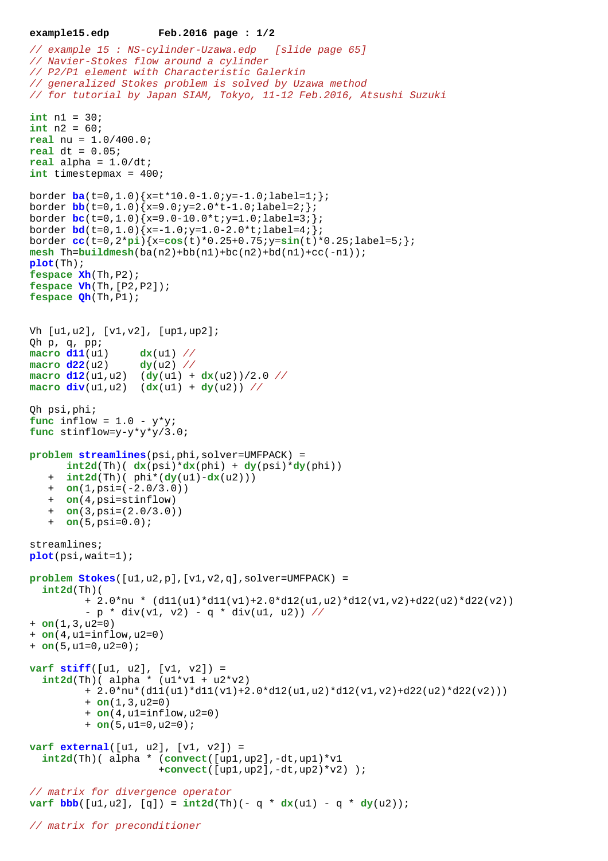```
example15.edp Feb.2016 page : 1/2
```

```
// example 15 : NS-cylinder-Uzawa.edp [slide page 65]
// Navier-Stokes flow around a cylinder
// P2/P1 element with Characteristic Galerkin
// generalized Stokes problem is solved by Uzawa method
// for tutorial by Japan SIAM, Tokyo, 11-12 Feb.2016, Atsushi Suzuki
int n1 = 30;
int n2 = 60;
real nu = 1.0/400.0;
real dt = 0.05;
real alpha = 1.0/dt;
int timestepmax = 400;
border ba(t=0,1.0){x=t*10.0-1.0;y=-1.0;label=1;};
border \frac{\text{bb}}{\text{1.0}} (t=0,1.0) {x=9.0; y=2.0*t-1.0; label=2; };
border bc(t=0,1.0){x=9.0-10.0*t;y=1.0;label=3;};
border bd(t=0,1.0) {x=-1.0;y=1.0-2.0*t;label=4; };
border cc(t=0,2*pi){x=cos(t)*0.25+0.75;y=sin(t)*0.25;label=5;};
\text{mesh} Th=\text{build}mesh(ba(n2)+bb(n1)+bc(n2)+bd(n1)+cc(-n1));
plot(Th);
fespace Xh(Th,P2);
fespace Vh(Th,[P2,P2]);
fespace Qh(Th,P1);
Vh [u1,u2], [v1,v2], [up1,up2];
Qh p, q, pp;
macro d11(u1) dx(u1) //
\frac{1}{22}(u2) \frac{dy}{u^2} //
\frac{d12(u1, u2)}{dy(u1) + dx(u2)}macro div(u1,u2) (dx(u1) + dy(u2)) //
Qh psi,phi;
func inflow = 1.0 - v^*v;
func stinflow=y-y*y*y/3.0;
problem streamlines(psi,phi,solver=UMFPACK) =
      int2d(Th) ( dx(psi)*dx(phi) + dy(psi)*dy(phi))
    + int2d(Th)( phi*(dy(u1)-dx(u2)))
    + on(1,psi=(-2.0/3.0))
    + on(4,psi=stinflow)
    + on(3,psi=(2.0/3.0))
    + on(5,psi=0.0);
streamlines;
plot(psi,wait=1);
problem Stokes([u1,u2,p],[v1,v2,q],solver=UMFPACK) = 
   int2d(Th)( 
          + 2.0*nu * (d11(u1)*d11(v1)+2.0*d12(u1,u2)*d12(v1,v2)+d22(u2)*d22(v2))
         - p * div(v1, v2) - q * div(u1, u2)) //
+ on(1,3,u2=0) 
+ on(4,u1=inflow,u2=0) 
+ on(5,u1=0,u2=0);
varf stiff([u1, u2], [v1, v2]) =
  int2d(Th) (alpha * (ul*vl + u2*v2)+ 2.0*nu*(d11(u1)*d11(v1)+2.0*d12(u1,u2)*d12(v1,v2)+d22(u2)*d22(v2)))+ on(1,3, u2=0) + on(4,u1=inflow,u2=0) 
          + on(5,u1=0,u2=0);
varf external([u1, u2], [v1, v2]) =
   int2d(Th)( alpha * (convect([up1,up2],-dt,up1)*v1
                       +convect([up1,up2],-dt,up2)*v2) );
// matrix for divergence operator
varf bbb(b(a1, u2), [q]) = int2d(Th)(- q * dx(u1) - q * dy(u2));// matrix for preconditioner
```